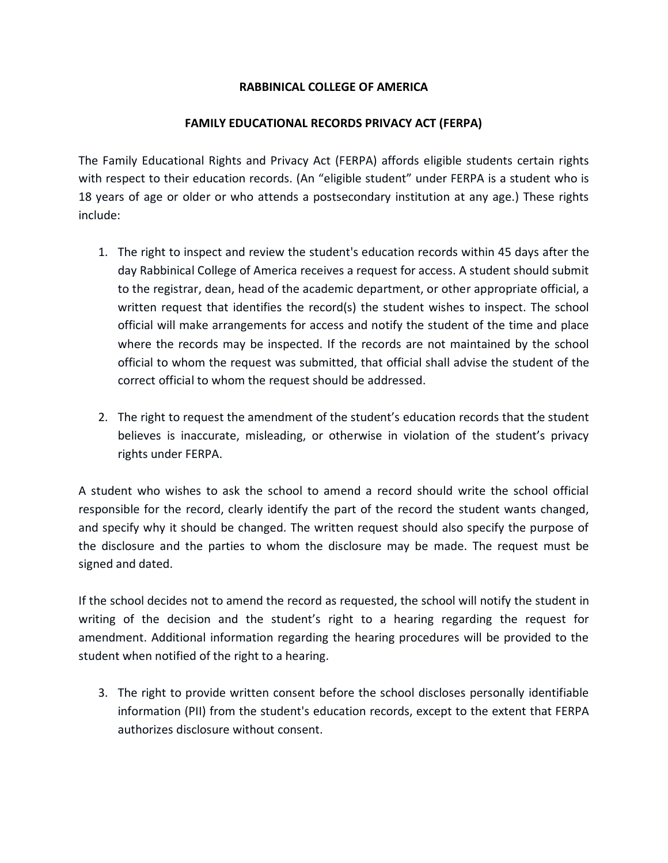## **RABBINICAL COLLEGE OF AMERICA**

## **FAMILY EDUCATIONAL RECORDS PRIVACY ACT (FERPA)**

The Family Educational Rights and Privacy Act (FERPA) affords eligible students certain rights with respect to their education records. (An "eligible student" under FERPA is a student who is 18 years of age or older or who attends a postsecondary institution at any age.) These rights include:

- 1. The right to inspect and review the student's education records within 45 days after the day Rabbinical College of America receives a request for access. A student should submit to the registrar, dean, head of the academic department, or other appropriate official, a written request that identifies the record(s) the student wishes to inspect. The school official will make arrangements for access and notify the student of the time and place where the records may be inspected. If the records are not maintained by the school official to whom the request was submitted, that official shall advise the student of the correct official to whom the request should be addressed.
- 2. The right to request the amendment of the student's education records that the student believes is inaccurate, misleading, or otherwise in violation of the student's privacy rights under FERPA.

A student who wishes to ask the school to amend a record should write the school official responsible for the record, clearly identify the part of the record the student wants changed, and specify why it should be changed. The written request should also specify the purpose of the disclosure and the parties to whom the disclosure may be made. The request must be signed and dated.

If the school decides not to amend the record as requested, the school will notify the student in writing of the decision and the student's right to a hearing regarding the request for amendment. Additional information regarding the hearing procedures will be provided to the student when notified of the right to a hearing.

3. The right to provide written consent before the school discloses personally identifiable information (PII) from the student's education records, except to the extent that FERPA authorizes disclosure without consent.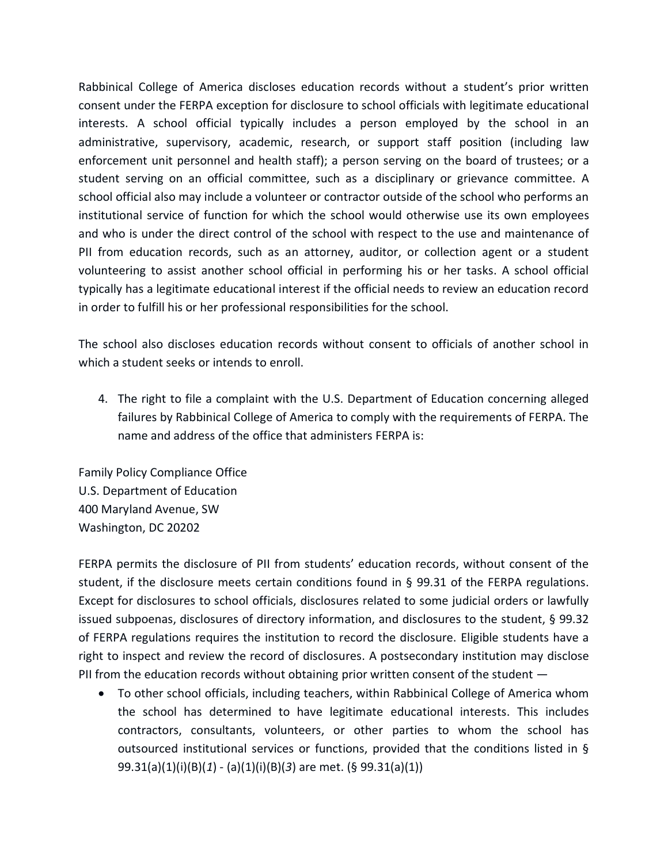Rabbinical College of America discloses education records without a student's prior written consent under the FERPA exception for disclosure to school officials with legitimate educational interests. A school official typically includes a person employed by the school in an administrative, supervisory, academic, research, or support staff position (including law enforcement unit personnel and health staff); a person serving on the board of trustees; or a student serving on an official committee, such as a disciplinary or grievance committee. A school official also may include a volunteer or contractor outside of the school who performs an institutional service of function for which the school would otherwise use its own employees and who is under the direct control of the school with respect to the use and maintenance of PII from education records, such as an attorney, auditor, or collection agent or a student volunteering to assist another school official in performing his or her tasks. A school official typically has a legitimate educational interest if the official needs to review an education record in order to fulfill his or her professional responsibilities for the school.

The school also discloses education records without consent to officials of another school in which a student seeks or intends to enroll.

4. The right to file a complaint with the U.S. Department of Education concerning alleged failures by Rabbinical College of America to comply with the requirements of FERPA. The name and address of the office that administers FERPA is:

Family Policy Compliance Office U.S. Department of Education 400 Maryland Avenue, SW Washington, DC 20202

FERPA permits the disclosure of PII from students' education records, without consent of the student, if the disclosure meets certain conditions found in § 99.31 of the FERPA regulations. Except for disclosures to school officials, disclosures related to some judicial orders or lawfully issued subpoenas, disclosures of directory information, and disclosures to the student, § 99.32 of FERPA regulations requires the institution to record the disclosure. Eligible students have a right to inspect and review the record of disclosures. A postsecondary institution may disclose PII from the education records without obtaining prior written consent of the student —

 To other school officials, including teachers, within Rabbinical College of America whom the school has determined to have legitimate educational interests. This includes contractors, consultants, volunteers, or other parties to whom the school has outsourced institutional services or functions, provided that the conditions listed in § 99.31(a)(1)(i)(B)(*1*) - (a)(1)(i)(B)(*3*) are met. (§ 99.31(a)(1))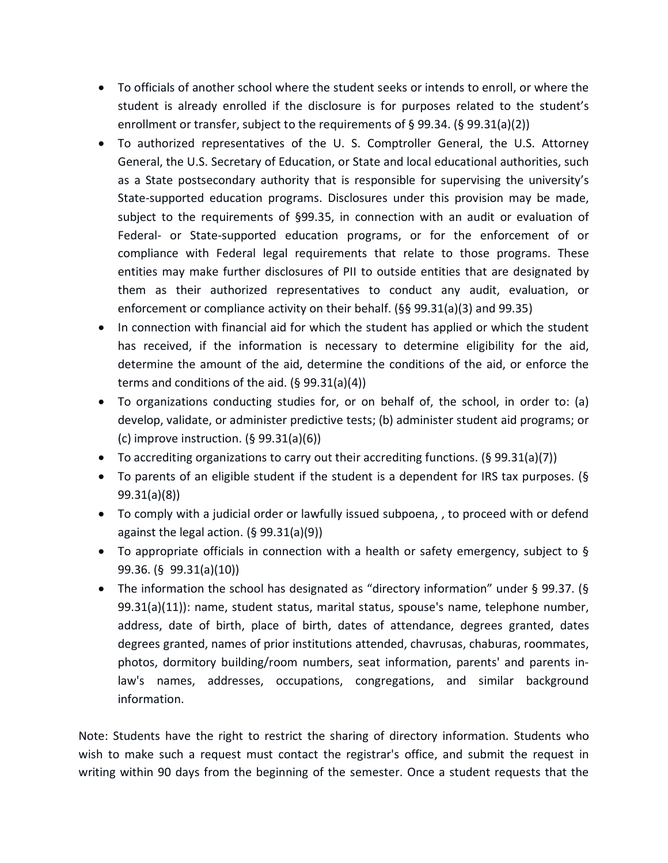- To officials of another school where the student seeks or intends to enroll, or where the student is already enrolled if the disclosure is for purposes related to the student's enrollment or transfer, subject to the requirements of § 99.34. (§ 99.31(a)(2))
- To authorized representatives of the U. S. Comptroller General, the U.S. Attorney General, the U.S. Secretary of Education, or State and local educational authorities, such as a State postsecondary authority that is responsible for supervising the university's State-supported education programs. Disclosures under this provision may be made, subject to the requirements of §99.35, in connection with an audit or evaluation of Federal- or State-supported education programs, or for the enforcement of or compliance with Federal legal requirements that relate to those programs. These entities may make further disclosures of PII to outside entities that are designated by them as their authorized representatives to conduct any audit, evaluation, or enforcement or compliance activity on their behalf. (§§ 99.31(a)(3) and 99.35)
- In connection with financial aid for which the student has applied or which the student has received, if the information is necessary to determine eligibility for the aid, determine the amount of the aid, determine the conditions of the aid, or enforce the terms and conditions of the aid. (§ 99.31(a)(4))
- To organizations conducting studies for, or on behalf of, the school, in order to: (a) develop, validate, or administer predictive tests; (b) administer student aid programs; or (c) improve instruction.  $(§ 99.31(a)(6))$
- $\bullet$  To accrediting organizations to carry out their accrediting functions. (§ 99.31(a)(7))
- To parents of an eligible student if the student is a dependent for IRS tax purposes. (§ 99.31(a)(8))
- To comply with a judicial order or lawfully issued subpoena, , to proceed with or defend against the legal action. (§ 99.31(a)(9))
- To appropriate officials in connection with a health or safety emergency, subject to  $\S$ 99.36. (§ 99.31(a)(10))
- The information the school has designated as "directory information" under § 99.37. (§ 99.31(a)(11)): name, student status, marital status, spouse's name, telephone number, address, date of birth, place of birth, dates of attendance, degrees granted, dates degrees granted, names of prior institutions attended, chavrusas, chaburas, roommates, photos, dormitory building/room numbers, seat information, parents' and parents inlaw's names, addresses, occupations, congregations, and similar background information.

Note: Students have the right to restrict the sharing of directory information. Students who wish to make such a request must contact the registrar's office, and submit the request in writing within 90 days from the beginning of the semester. Once a student requests that the